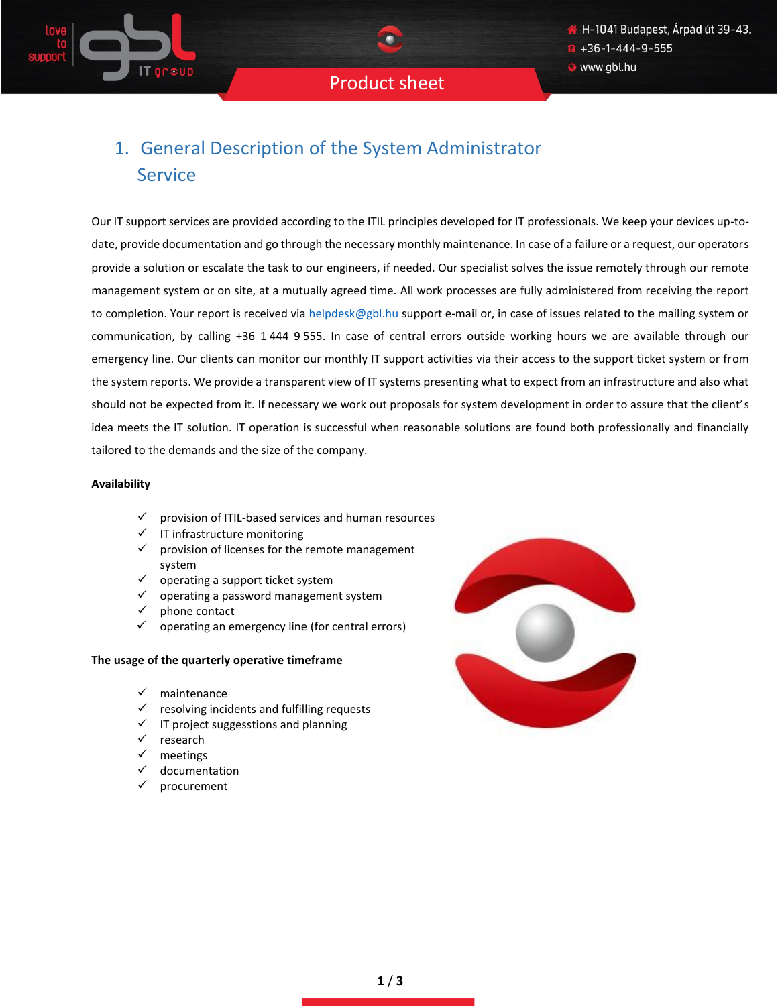# 1. General Description of the System Administrator Service

Our IT support services are provided according to the ITIL principles developed for IT professionals. We keep your devices up-todate, provide documentation and go through the necessary monthly maintenance. In case of a failure or a request, our operators provide a solution or escalate the task to our engineers, if needed. Our specialist solves the issue remotely through our remote management system or on site, at a mutually agreed time. All work processes are fully administered from receiving the report to completion. Your report is received via [helpdesk@gbl.hu](mailto:helpdesk@gbl.hu) support e-mail or, in case of issues related to the mailing system or communication, by calling +36 1 444 9 555. In case of central errors outside working hours we are available through our emergency line. Our clients can monitor our monthly IT support activities via their access to the support ticket system or from the system reports. We provide a transparent view of IT systems presenting what to expect from an infrastructure and also what should not be expected from it. If necessary we work out proposals for system development in order to assure that the client's idea meets the IT solution. IT operation is successful when reasonable solutions are found both professionally and financially tailored to the demands and the size of the company.

### **Availability**

- ✓ provision of ITIL-based services and human resources
- ✓ IT infrastructure monitoring
- $\checkmark$  provision of licenses for the remote management system
- $\checkmark$  operating a support ticket system
- $\checkmark$  operating a password management system
- phone contact
- $\checkmark$  operating an emergency line (for central errors)

#### **The usage of the quarterly operative timeframe**

- ✓ maintenance
- **The soluting incidents and fulfilling requests**
- $\checkmark$  IT project suggesstions and planning
- ✓ research
- meetings
- documentation
- procurement

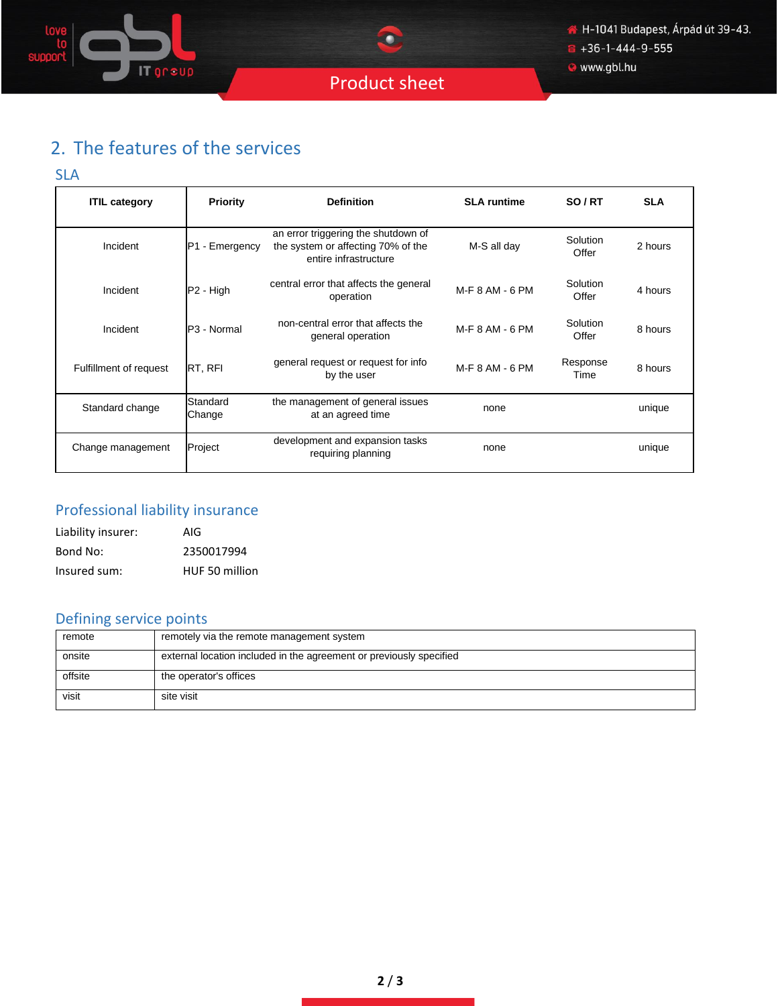

· www.gbl.hu

# 2. The features of the services

### SLA

| <b>ITIL category</b>   | <b>Priority</b>       | <b>Definition</b>                                                                                  | <b>SLA</b> runtime | SO/RT             | <b>SLA</b> |
|------------------------|-----------------------|----------------------------------------------------------------------------------------------------|--------------------|-------------------|------------|
| Incident               | P1 - Emergency        | an error triggering the shutdown of<br>the system or affecting 70% of the<br>entire infrastructure | M-S all day        | Solution<br>Offer | 2 hours    |
| Incident               | P <sub>2</sub> - High | central error that affects the general<br>operation                                                | M-F 8 AM - 6 PM    | Solution<br>Offer | 4 hours    |
| Incident               | P3 - Normal           | non-central error that affects the<br>general operation                                            | M-F 8 AM - 6 PM    | Solution<br>Offer | 8 hours    |
| Fulfillment of request | RT, RFI               | general request or request for info<br>by the user                                                 | M-F 8 AM - 6 PM    | Response<br>Time  | 8 hours    |
| Standard change        | Standard<br>Change    | the management of general issues<br>at an agreed time                                              | none               |                   | unique     |
| Change management      | Project               | development and expansion tasks<br>requiring planning                                              | none               |                   | unique     |

## Professional liability insurance

| Liability insurer: | AIG            |
|--------------------|----------------|
| Bond No:           | 2350017994     |
| Insured sum:       | HUF 50 million |

## Defining service points

| remote  | remotely via the remote management system                           |
|---------|---------------------------------------------------------------------|
| onsite  | external location included in the agreement or previously specified |
| offsite | the operator's offices                                              |
| visit   | site visit                                                          |